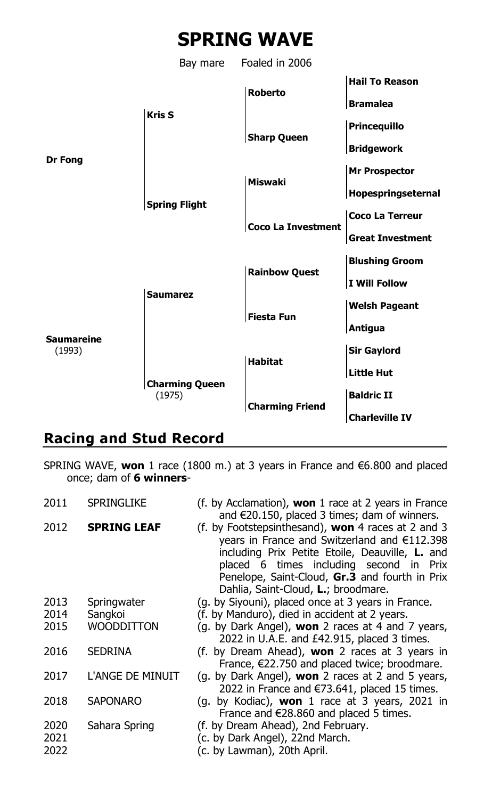

## **Racing and Stud Record**

SPRING WAVE, **won** 1 race (1800 m.) at 3 years in France and €6.800 and placed once; dam of **6 winners**-

| 2011                 | <b>SPRINGLIKE</b>  | (f. by Acclamation), <b>won</b> 1 race at 2 years in France<br>and $\in$ 20.150, placed 3 times; dam of winners.                                                                                                                                                                                 |
|----------------------|--------------------|--------------------------------------------------------------------------------------------------------------------------------------------------------------------------------------------------------------------------------------------------------------------------------------------------|
| 2012                 | <b>SPRING LEAF</b> | (f. by Footstepsinthesand), <b>won</b> 4 races at 2 and 3<br>years in France and Switzerland and €112.398<br>including Prix Petite Etoile, Deauville, L. and<br>placed 6 times including second in Prix<br>Penelope, Saint-Cloud, Gr.3 and fourth in Prix<br>Dahlia, Saint-Cloud, L.; broodmare. |
| 2013                 | Springwater        | (g. by Siyouni), placed once at 3 years in France.                                                                                                                                                                                                                                               |
| 2014                 | Sangkoi            | (f. by Manduro), died in accident at 2 years.                                                                                                                                                                                                                                                    |
| 2015                 | WOODDITTON         | (g. by Dark Angel), won 2 races at 4 and 7 years,<br>2022 in U.A.E. and £42.915, placed 3 times.                                                                                                                                                                                                 |
| 2016                 | <b>SEDRINA</b>     | (f. by Dream Ahead), <b>won</b> 2 races at 3 years in<br>France, $\epsilon$ 22.750 and placed twice; broodmare.                                                                                                                                                                                  |
| 2017                 | L'ANGE DE MINUIT   | (g. by Dark Angel), <b>won</b> 2 races at 2 and 5 years,<br>2022 in France and €73.641, placed 15 times.                                                                                                                                                                                         |
| 2018                 | <b>SAPONARO</b>    | (g. by Kodiac), won 1 race at 3 years, 2021 in<br>France and €28.860 and placed 5 times.                                                                                                                                                                                                         |
| 2020<br>2021<br>2022 | Sahara Spring      | (f. by Dream Ahead), 2nd February.<br>(c. by Dark Angel), 22nd March.<br>(c. by Lawman), 20th April.                                                                                                                                                                                             |